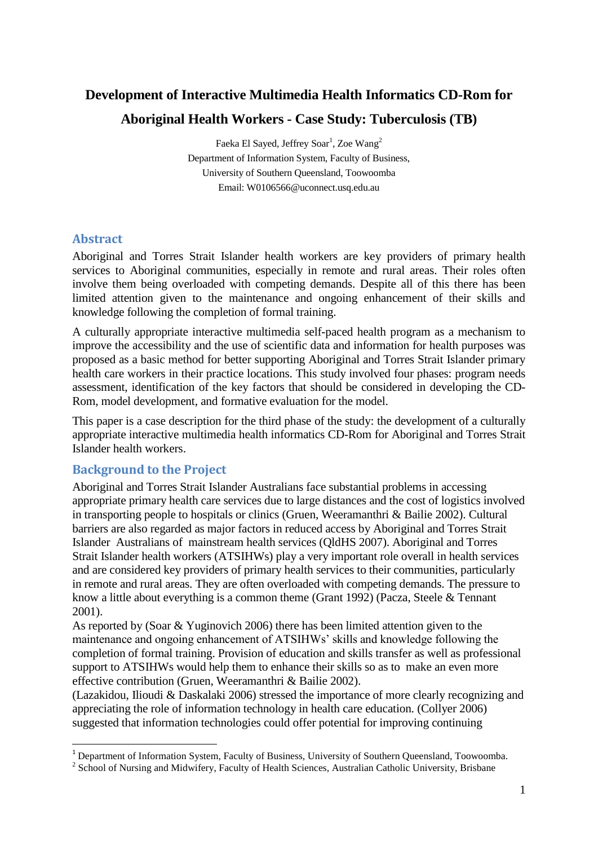# **Development of Interactive Multimedia Health Informatics CD-Rom for Aboriginal Health Workers - Case Study: Tuberculosis (TB)**

Faeka El Sayed, Jeffrey Soar<sup>1</sup>, Zoe Wang<sup>2</sup> Department of Information System, Faculty of Business, University of Southern Queensland, Toowoomba Email: W0106566@uconnect.usq.edu.au

## **Abstract**

<u>.</u>

Aboriginal and Torres Strait Islander health workers are key providers of primary health services to Aboriginal communities, especially in remote and rural areas. Their roles often involve them being overloaded with competing demands. Despite all of this there has been limited attention given to the maintenance and ongoing enhancement of their skills and knowledge following the completion of formal training.

A culturally appropriate interactive multimedia self-paced health program as a mechanism to improve the accessibility and the use of scientific data and information for health purposes was proposed as a basic method for better supporting Aboriginal and Torres Strait Islander primary health care workers in their practice locations. This study involved four phases: program needs assessment, identification of the key factors that should be considered in developing the CD-Rom, model development, and formative evaluation for the model.

This paper is a case description for the third phase of the study: the development of a culturally appropriate interactive multimedia health informatics CD-Rom for Aboriginal and Torres Strait Islander health workers.

## **Background to the Project**

Aboriginal and Torres Strait Islander Australians face substantial problems in accessing appropriate primary health care services due to large distances and the cost of logistics involved in transporting people to hospitals or clinics (Gruen, Weeramanthri & Bailie 2002). Cultural barriers are also regarded as major factors in reduced access by Aboriginal and Torres Strait Islander Australians of mainstream health services (QldHS 2007). Aboriginal and Torres Strait Islander health workers (ATSIHWs) play a very important role overall in health services and are considered key providers of primary health services to their communities, particularly in remote and rural areas. They are often overloaded with competing demands. The pressure to know a little about everything is a common theme (Grant 1992) (Pacza, Steele & Tennant 2001).

As reported by (Soar & Yuginovich 2006) there has been limited attention given to the maintenance and ongoing enhancement of ATSIHWs' skills and knowledge following the completion of formal training. Provision of education and skills transfer as well as professional support to ATSIHWs would help them to enhance their skills so as to make an even more effective contribution (Gruen, Weeramanthri & Bailie 2002).

(Lazakidou, Ilioudi & Daskalaki 2006) stressed the importance of more clearly recognizing and appreciating the role of information technology in health care education. (Collyer 2006) suggested that information technologies could offer potential for improving continuing

<sup>&</sup>lt;sup>1</sup> Department of Information System, Faculty of Business, University of Southern Queensland, Toowoomba.

<sup>&</sup>lt;sup>2</sup> School of Nursing and Midwifery, Faculty of Health Sciences, Australian Catholic University, Brisbane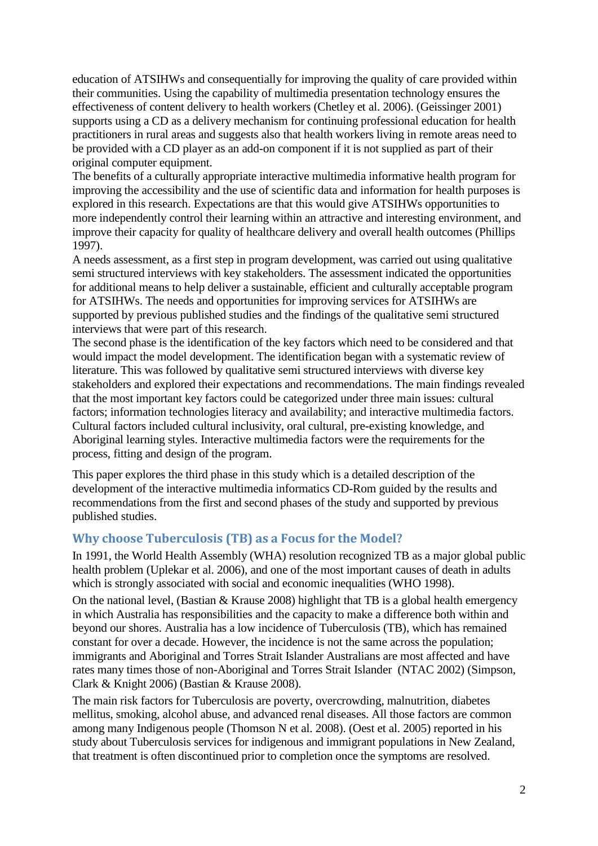education of ATSIHWs and consequentially for improving the quality of care provided within their communities. Using the capability of multimedia presentation technology ensures the effectiveness of content delivery to health workers (Chetley et al. 2006). (Geissinger 2001) supports using a CD as a delivery mechanism for continuing professional education for health practitioners in rural areas and suggests also that health workers living in remote areas need to be provided with a CD player as an add-on component if it is not supplied as part of their original computer equipment.

The benefits of a culturally appropriate interactive multimedia informative health program for improving the accessibility and the use of scientific data and information for health purposes is explored in this research. Expectations are that this would give ATSIHWs opportunities to more independently control their learning within an attractive and interesting environment, and improve their capacity for quality of healthcare delivery and overall health outcomes (Phillips 1997).

A needs assessment, as a first step in program development, was carried out using qualitative semi structured interviews with key stakeholders. The assessment indicated the opportunities for additional means to help deliver a sustainable, efficient and culturally acceptable program for ATSIHWs. The needs and opportunities for improving services for ATSIHWs are supported by previous published studies and the findings of the qualitative semi structured interviews that were part of this research.

The second phase is the identification of the key factors which need to be considered and that would impact the model development. The identification began with a systematic review of literature. This was followed by qualitative semi structured interviews with diverse key stakeholders and explored their expectations and recommendations. The main findings revealed that the most important key factors could be categorized under three main issues: cultural factors; information technologies literacy and availability; and interactive multimedia factors. Cultural factors included cultural inclusivity, oral cultural, pre-existing knowledge, and Aboriginal learning styles. Interactive multimedia factors were the requirements for the process, fitting and design of the program.

This paper explores the third phase in this study which is a detailed description of the development of the interactive multimedia informatics CD-Rom guided by the results and recommendations from the first and second phases of the study and supported by previous published studies.

#### **Why choose Tuberculosis (TB) as a Focus for the Model?**

In 1991, the World Health Assembly (WHA) resolution recognized TB as a major global public health problem (Uplekar et al. 2006), and one of the most important causes of death in adults which is strongly associated with social and economic inequalities (WHO 1998).

On the national level, (Bastian & Krause 2008) highlight that TB is a global health emergency in which Australia has responsibilities and the capacity to make a difference both within and beyond our shores. Australia has a low incidence of Tuberculosis (TB), which has remained constant for over a decade. However, the incidence is not the same across the population; immigrants and Aboriginal and Torres Strait Islander Australians are most affected and have rates many times those of non-Aboriginal and Torres Strait Islander (NTAC 2002) (Simpson, Clark & Knight 2006) (Bastian & Krause 2008).

The main risk factors for Tuberculosis are poverty, overcrowding, malnutrition, diabetes mellitus, smoking, alcohol abuse, and advanced renal diseases. All those factors are common among many Indigenous people (Thomson N et al. 2008). (Oest et al. 2005) reported in his study about Tuberculosis services for indigenous and immigrant populations in New Zealand, that treatment is often discontinued prior to completion once the symptoms are resolved.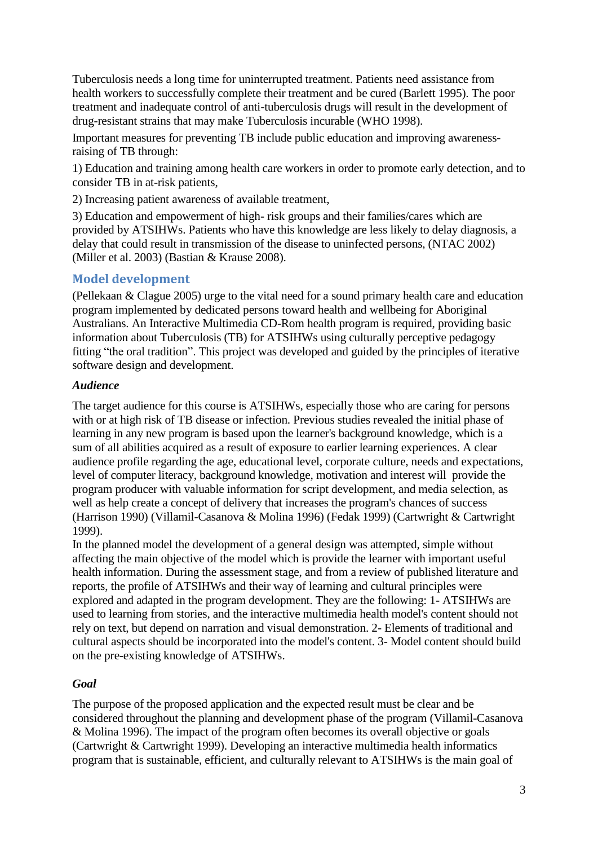Tuberculosis needs a long time for uninterrupted treatment. Patients need assistance from health workers to successfully complete their treatment and be cured (Barlett 1995). The poor treatment and inadequate control of anti-tuberculosis drugs will result in the development of drug-resistant strains that may make Tuberculosis incurable (WHO 1998).

Important measures for preventing TB include public education and improving awarenessraising of TB through:

1) Education and training among health care workers in order to promote early detection, and to consider TB in at-risk patients,

2) Increasing patient awareness of available treatment,

3) Education and empowerment of high- risk groups and their families/cares which are provided by ATSIHWs. Patients who have this knowledge are less likely to delay diagnosis, a delay that could result in transmission of the disease to uninfected persons, (NTAC 2002) (Miller et al. 2003) (Bastian & Krause 2008).

## **Model development**

(Pellekaan & Clague 2005) urge to the vital need for a sound primary health care and education program implemented by dedicated persons toward health and wellbeing for Aboriginal Australians. An Interactive Multimedia CD-Rom health program is required, providing basic information about Tuberculosis (TB) for ATSIHWs using culturally perceptive pedagogy fitting "the oral tradition". This project was developed and guided by the principles of iterative software design and development.

#### *Audience*

The target audience for this course is ATSIHWs, especially those who are caring for persons with or at high risk of TB disease or infection. Previous studies revealed the initial phase of learning in any new program is based upon the learner's background knowledge, which is a sum of all abilities acquired as a result of exposure to earlier learning experiences. A clear audience profile regarding the age, educational level, corporate culture, needs and expectations, level of computer literacy, background knowledge, motivation and interest will provide the program producer with valuable information for script development, and media selection, as well as help create a concept of delivery that increases the program's chances of success (Harrison 1990) (Villamil-Casanova & Molina 1996) (Fedak 1999) (Cartwright & Cartwright 1999).

In the planned model the development of a general design was attempted, simple without affecting the main objective of the model which is provide the learner with important useful health information. During the assessment stage, and from a review of published literature and reports, the profile of ATSIHWs and their way of learning and cultural principles were explored and adapted in the program development. They are the following: 1- ATSIHWs are used to learning from stories, and the interactive multimedia health model's content should not rely on text, but depend on narration and visual demonstration. 2- Elements of traditional and cultural aspects should be incorporated into the model's content. 3- Model content should build on the pre-existing knowledge of ATSIHWs.

#### *Goal*

The purpose of the proposed application and the expected result must be clear and be considered throughout the planning and development phase of the program (Villamil-Casanova & Molina 1996). The impact of the program often becomes its overall objective or goals (Cartwright & Cartwright 1999). Developing an interactive multimedia health informatics program that is sustainable, efficient, and culturally relevant to ATSIHWs is the main goal of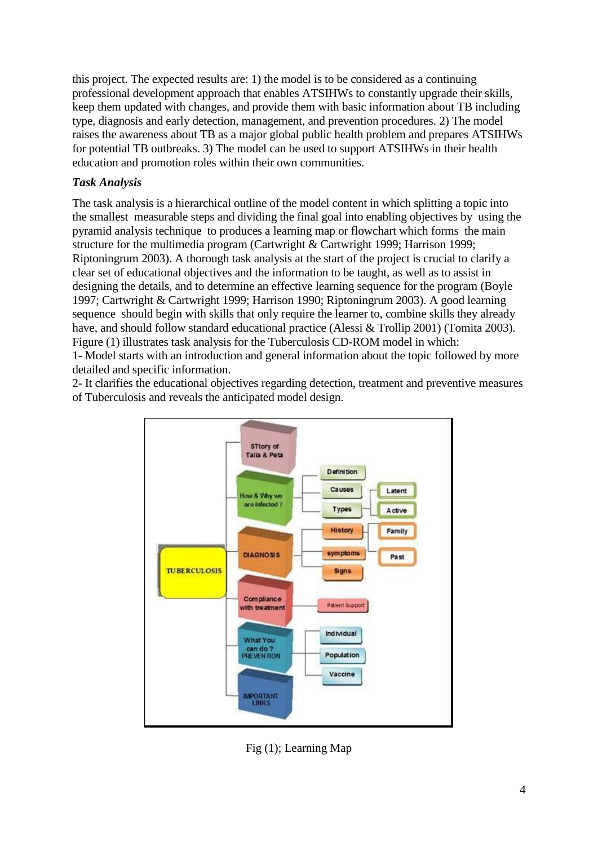this project. The expected results are: 1) the model is to be considered as a continuing professional development approach that enables ATSIHWs to constantly upgrade their skills, keep them updated with changes, and provide them with basic information about TB including type, diagnosis and early detection, management, and prevention procedures. 2) The model raises the awareness about TB as a major global public health problem and prepares ATSIHWs for potential TB outbreaks. 3) The model can be used to support ATSIHWs in their health education and promotion roles within their own communities.

## *Task Analysis*

The task analysis is a hierarchical outline of the model content in which splitting a topic into the smallest measurable steps and dividing the final goal into enabling objectives by using the pyramid analysis technique to produces a learning map or flowchart which forms the main structure for the multimedia program (Cartwright & Cartwright 1999; Harrison 1999; Riptoningrum 2003). A thorough task analysis at the start of the project is crucial to clarify a clear set of educational objectives and the information to be taught, as well as to assist in designing the details, and to determine an effective learning sequence for the program (Boyle 1997; Cartwright & Cartwright 1999; Harrison 1990; Riptoningrum 2003). A good learning sequence should begin with skills that only require the learner to, combine skills they already have, and should follow standard educational practice (Alessi & Trollip 2001) (Tomita 2003). Figure (1) illustrates task analysis for the Tuberculosis CD-ROM model in which: 1- Model starts with an introduction and general information about the topic followed by more

detailed and specific information.

2- It clarifies the educational objectives regarding detection, treatment and preventive measures of Tuberculosis and reveals the anticipated model design.



Fig (1); Learning Map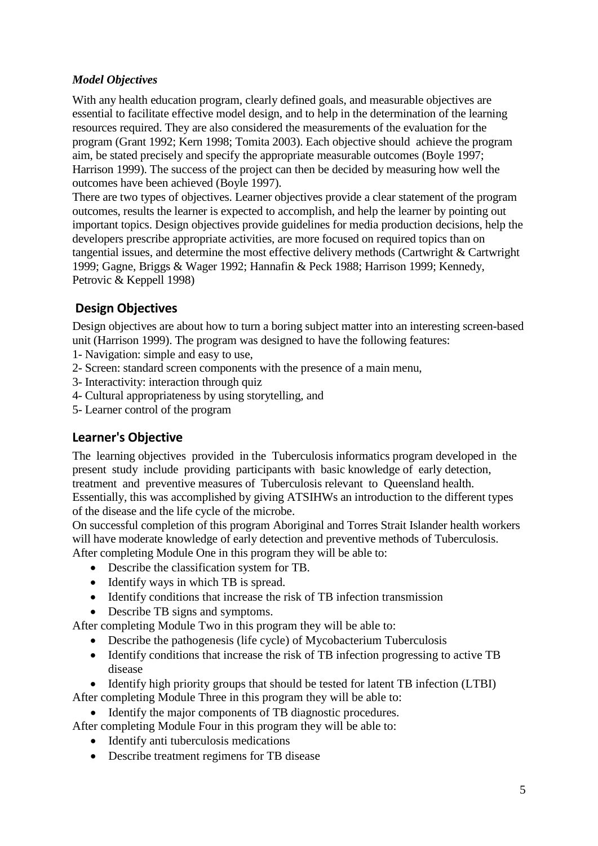## *Model Objectives*

With any health education program, clearly defined goals, and measurable objectives are essential to facilitate effective model design, and to help in the determination of the learning resources required. They are also considered the measurements of the evaluation for the program (Grant 1992; Kern 1998; Tomita 2003). Each objective should achieve the program aim, be stated precisely and specify the appropriate measurable outcomes (Boyle 1997; Harrison 1999). The success of the project can then be decided by measuring how well the outcomes have been achieved (Boyle 1997).

There are two types of objectives. Learner objectives provide a clear statement of the program outcomes, results the learner is expected to accomplish, and help the learner by pointing out important topics. Design objectives provide guidelines for media production decisions, help the developers prescribe appropriate activities, are more focused on required topics than on tangential issues, and determine the most effective delivery methods (Cartwright & Cartwright 1999; Gagne, Briggs & Wager 1992; Hannafin & Peck 1988; Harrison 1999; Kennedy, Petrovic & Keppell 1998)

# **Design Objectives**

Design objectives are about how to turn a boring subject matter into an interesting screen-based unit (Harrison 1999). The program was designed to have the following features:

- 1- Navigation: simple and easy to use,
- 2- Screen: standard screen components with the presence of a main menu,
- 3- Interactivity: interaction through quiz
- 4- Cultural appropriateness by using storytelling, and
- 5- Learner control of the program

## **Learner's Objective**

The learning objectives provided in the Tuberculosis informatics program developed in the present study include providing participants with basic knowledge of early detection, treatment and preventive measures of Tuberculosis relevant to Queensland health. Essentially, this was accomplished by giving ATSIHWs an introduction to the different types of the disease and the life cycle of the microbe.

On successful completion of this program Aboriginal and Torres Strait Islander health workers will have moderate knowledge of early detection and preventive methods of Tuberculosis. After completing Module One in this program they will be able to:

- Describe the classification system for TB.
- Identify ways in which TB is spread.
- Identify conditions that increase the risk of TB infection transmission
- Describe TB signs and symptoms.

After completing Module Two in this program they will be able to:

- Describe the pathogenesis (life cycle) of Mycobacterium Tuberculosis
- Identify conditions that increase the risk of TB infection progressing to active TB disease
- Identify high priority groups that should be tested for latent TB infection (LTBI)

After completing Module Three in this program they will be able to:

Identify the major components of TB diagnostic procedures.

After completing Module Four in this program they will be able to:

- Identify anti tuberculosis medications
- Describe treatment regimens for TB disease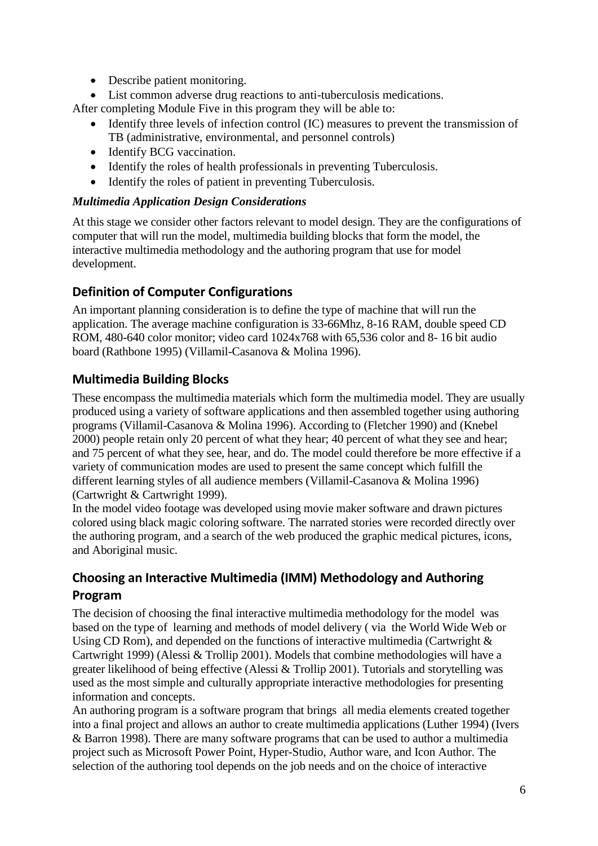- Describe patient monitoring.
- List common adverse drug reactions to anti-tuberculosis medications.

After completing Module Five in this program they will be able to:

- Identify three levels of infection control (IC) measures to prevent the transmission of TB (administrative, environmental, and personnel controls)
- Identify BCG vaccination.
- Identify the roles of health professionals in preventing Tuberculosis.
- Identify the roles of patient in preventing Tuberculosis.

#### *Multimedia Application Design Considerations*

At this stage we consider other factors relevant to model design. They are the configurations of computer that will run the model, multimedia building blocks that form the model, the interactive multimedia methodology and the authoring program that use for model development.

# **Definition of Computer Configurations**

An important planning consideration is to define the type of machine that will run the application. The average machine configuration is 33-66Mhz, 8-16 RAM, double speed CD ROM, 480-640 color monitor; video card 1024x768 with 65,536 color and 8- 16 bit audio board (Rathbone 1995) (Villamil-Casanova & Molina 1996).

# **Multimedia Building Blocks**

These encompass the multimedia materials which form the multimedia model. They are usually produced using a variety of software applications and then assembled together using authoring programs (Villamil-Casanova & Molina 1996). According to (Fletcher 1990) and (Knebel 2000) people retain only 20 percent of what they hear; 40 percent of what they see and hear; and 75 percent of what they see, hear, and do. The model could therefore be more effective if a variety of communication modes are used to present the same concept which fulfill the different learning styles of all audience members (Villamil-Casanova & Molina 1996) (Cartwright & Cartwright 1999).

In the model video footage was developed using movie maker software and drawn pictures colored using black magic coloring software. The narrated stories were recorded directly over the authoring program, and a search of the web produced the graphic medical pictures, icons, and Aboriginal music.

# **Choosing an Interactive Multimedia (IMM) Methodology and Authoring Program**

The decision of choosing the final interactive multimedia methodology for the model was based on the type of learning and methods of model delivery ( via the World Wide Web or Using CD Rom), and depended on the functions of interactive multimedia (Cartwright & Cartwright 1999) (Alessi & Trollip 2001). Models that combine methodologies will have a greater likelihood of being effective (Alessi & Trollip 2001). Tutorials and storytelling was used as the most simple and culturally appropriate interactive methodologies for presenting information and concepts.

An authoring program is a software program that brings all media elements created together into a final project and allows an author to create multimedia applications (Luther 1994) (Ivers & Barron 1998). There are many software programs that can be used to author a multimedia project such as Microsoft Power Point, Hyper-Studio, Author ware, and Icon Author. The selection of the authoring tool depends on the job needs and on the choice of interactive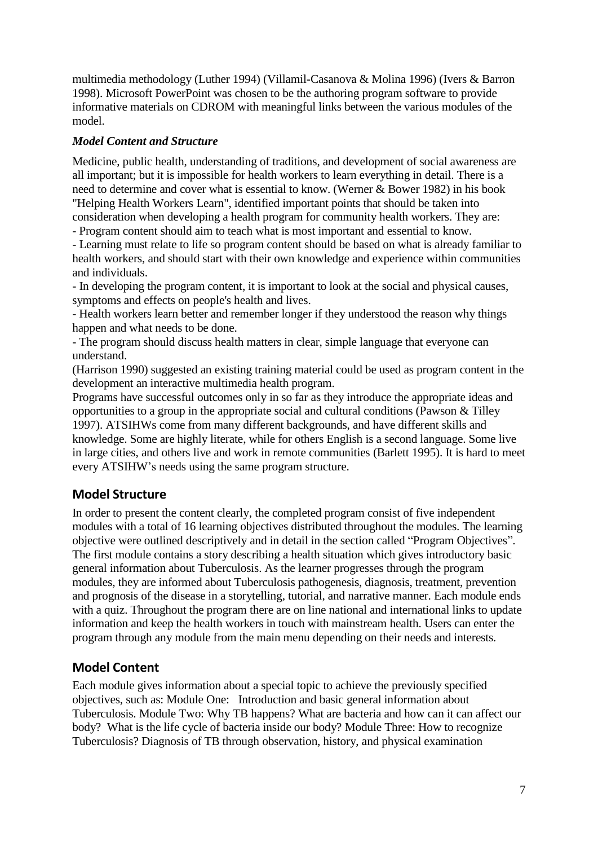multimedia methodology (Luther 1994) (Villamil-Casanova & Molina 1996) (Ivers & Barron 1998). Microsoft PowerPoint was chosen to be the authoring program software to provide informative materials on CDROM with meaningful links between the various modules of the model.

## *Model Content and Structure*

Medicine, public health, understanding of traditions, and development of social awareness are all important; but it is impossible for health workers to learn everything in detail. There is a need to determine and cover what is essential to know. (Werner & Bower 1982) in his book "Helping Health Workers Learn", identified important points that should be taken into consideration when developing a health program for community health workers. They are:

- Program content should aim to teach what is most important and essential to know.

- Learning must relate to life so program content should be based on what is already familiar to health workers, and should start with their own knowledge and experience within communities and individuals.

- In developing the program content, it is important to look at the social and physical causes, symptoms and effects on people's health and lives.

- Health workers learn better and remember longer if they understood the reason why things happen and what needs to be done.

- The program should discuss health matters in clear, simple language that everyone can understand.

(Harrison 1990) suggested an existing training material could be used as program content in the development an interactive multimedia health program.

Programs have successful outcomes only in so far as they introduce the appropriate ideas and opportunities to a group in the appropriate social and cultural conditions (Pawson & Tilley 1997). ATSIHWs come from many different backgrounds, and have different skills and knowledge. Some are highly literate, while for others English is a second language. Some live in large cities, and others live and work in remote communities (Barlett 1995). It is hard to meet every ATSIHW's needs using the same program structure.

# **Model Structure**

In order to present the content clearly, the completed program consist of five independent modules with a total of 16 learning objectives distributed throughout the modules. The learning objective were outlined descriptively and in detail in the section called "Program Objectives". The first module contains a story describing a health situation which gives introductory basic general information about Tuberculosis. As the learner progresses through the program modules, they are informed about Tuberculosis pathogenesis, diagnosis, treatment, prevention and prognosis of the disease in a storytelling, tutorial, and narrative manner. Each module ends with a quiz. Throughout the program there are on line national and international links to update information and keep the health workers in touch with mainstream health. Users can enter the program through any module from the main menu depending on their needs and interests.

## **Model Content**

Each module gives information about a special topic to achieve the previously specified objectives, such as: Module One: Introduction and basic general information about Tuberculosis. Module Two: Why TB happens? What are bacteria and how can it can affect our body? What is the life cycle of bacteria inside our body? Module Three: How to recognize Tuberculosis? Diagnosis of TB through observation, history, and physical examination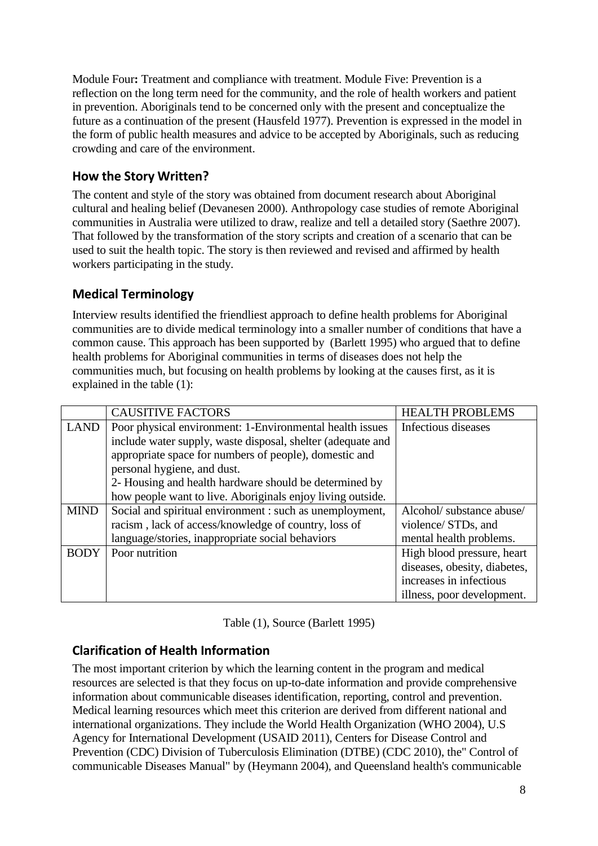Module Four**:** Treatment and compliance with treatment. Module Five: Prevention is a reflection on the long term need for the community, and the role of health workers and patient in prevention. Aboriginals tend to be concerned only with the present and conceptualize the future as a continuation of the present (Hausfeld 1977). Prevention is expressed in the model in the form of public health measures and advice to be accepted by Aboriginals, such as reducing crowding and care of the environment.

# **How the Story Written?**

The content and style of the story was obtained from document research about Aboriginal cultural and healing belief (Devanesen 2000). Anthropology case studies of remote Aboriginal communities in Australia were utilized to draw, realize and tell a detailed story (Saethre 2007). That followed by the transformation of the story scripts and creation of a scenario that can be used to suit the health topic. The story is then reviewed and revised and affirmed by health workers participating in the study.

# **Medical Terminology**

Interview results identified the friendliest approach to define health problems for Aboriginal communities are to divide medical terminology into a smaller number of conditions that have a common cause. This approach has been supported by (Barlett 1995) who argued that to define health problems for Aboriginal communities in terms of diseases does not help the communities much, but focusing on health problems by looking at the causes first, as it is explained in the table (1):

|             | <b>CAUSITIVE FACTORS</b>                                    | <b>HEALTH PROBLEMS</b>       |
|-------------|-------------------------------------------------------------|------------------------------|
| <b>LAND</b> | Poor physical environment: 1-Environmental health issues    | Infectious diseases          |
|             | include water supply, waste disposal, shelter (adequate and |                              |
|             | appropriate space for numbers of people), domestic and      |                              |
|             | personal hygiene, and dust.                                 |                              |
|             | 2- Housing and health hardware should be determined by      |                              |
|             | how people want to live. Aboriginals enjoy living outside.  |                              |
| <b>MIND</b> | Social and spiritual environment : such as unemployment,    | Alcohol/ substance abuse/    |
|             | racism, lack of access/knowledge of country, loss of        | violence/ STDs, and          |
|             | language/stories, inappropriate social behaviors            | mental health problems.      |
| <b>BODY</b> | Poor nutrition                                              | High blood pressure, heart   |
|             |                                                             | diseases, obesity, diabetes, |
|             |                                                             | increases in infectious      |
|             |                                                             | illness, poor development.   |

Table (1), Source (Barlett 1995)

# **Clarification of Health Information**

The most important criterion by which the learning content in the program and medical resources are selected is that they focus on up-to-date information and provide comprehensive information about communicable diseases identification, reporting, control and prevention. Medical learning resources which meet this criterion are derived from different national and international organizations. They include the World Health Organization (WHO 2004), U.S Agency for International Development (USAID 2011), Centers for Disease Control and Prevention (CDC) Division of Tuberculosis Elimination (DTBE) (CDC 2010), the" Control of communicable Diseases Manual" by (Heymann 2004), and Queensland health's communicable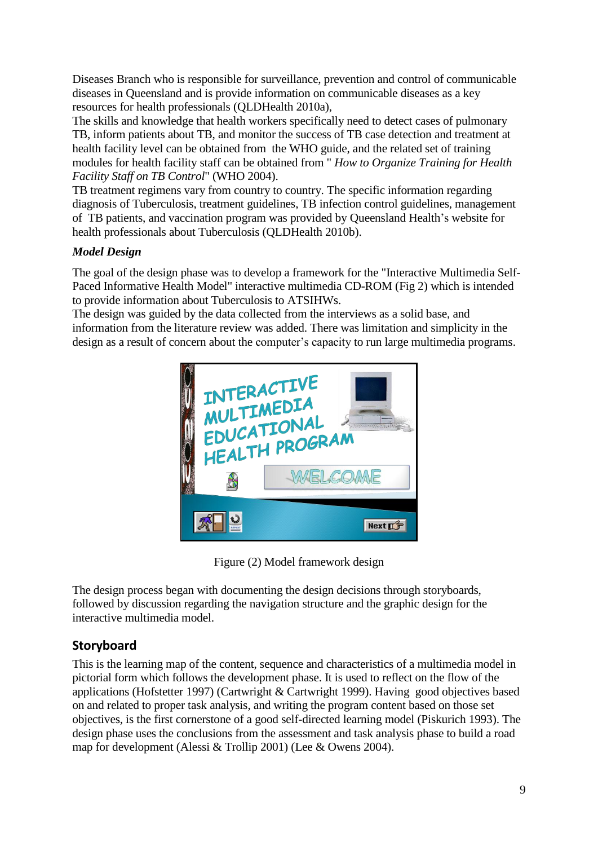Diseases Branch who is responsible for surveillance, prevention and control of communicable diseases in Queensland and is provide information on communicable diseases as a key resources for health professionals (QLDHealth 2010a),

The skills and knowledge that health workers specifically need to detect cases of pulmonary TB, inform patients about TB, and monitor the success of TB case detection and treatment at health facility level can be obtained from the WHO guide, and the related set of training modules for health facility staff can be obtained from " *How to Organize Training for Health Facility Staff on TB Control*" (WHO 2004).

TB treatment regimens vary from country to country. The specific information regarding diagnosis of Tuberculosis, treatment guidelines, TB infection control guidelines, management of TB patients, and vaccination program was provided by Queensland Health's website for health professionals about Tuberculosis (QLDHealth 2010b).

# *Model Design*

The goal of the design phase was to develop a framework for the "Interactive Multimedia Self-Paced Informative Health Model" interactive multimedia CD-ROM (Fig 2) which is intended to provide information about Tuberculosis to ATSIHWs.

The design was guided by the data collected from the interviews as a solid base, and information from the literature review was added. There was limitation and simplicity in the design as a result of concern about the computer's capacity to run large multimedia programs.



Figure (2) Model framework design

The design process began with documenting the design decisions through storyboards, followed by discussion regarding the navigation structure and the graphic design for the interactive multimedia model.

# **Storyboard**

This is the learning map of the content, sequence and characteristics of a multimedia model in pictorial form which follows the development phase. It is used to reflect on the flow of the applications (Hofstetter 1997) (Cartwright & Cartwright 1999). Having good objectives based on and related to proper task analysis, and writing the program content based on those set objectives, is the first cornerstone of a good self-directed learning model (Piskurich 1993). The design phase uses the conclusions from the assessment and task analysis phase to build a road map for development (Alessi & Trollip 2001) (Lee & Owens 2004).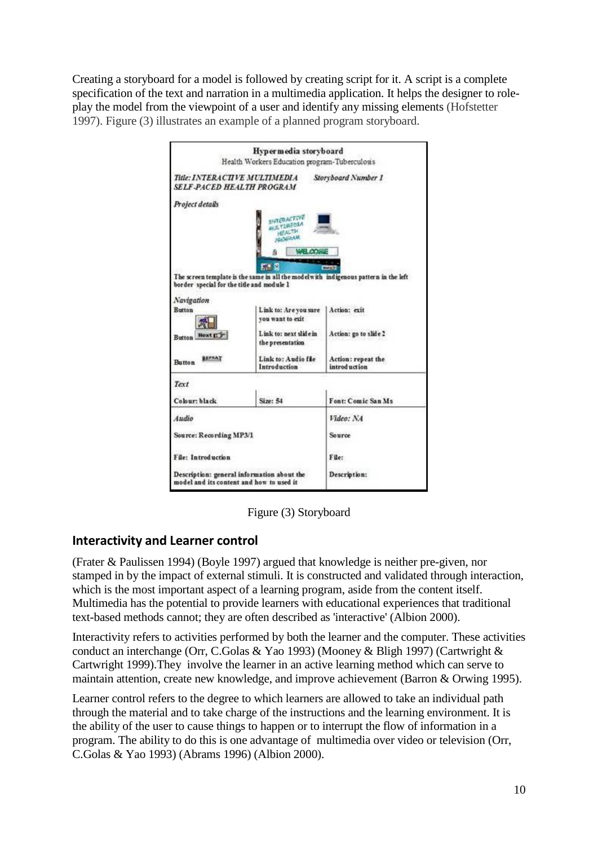Creating a storyboard for a model is followed by creating script for it. A script is a complete specification of the text and narration in a multimedia application. It helps the designer to roleplay the model from the viewpoint of a user and identify any missing elements (Hofstetter 1997). Figure (3) illustrates an example of a planned program storyboard.



Figure (3) Storyboard

## **Interactivity and Learner control**

(Frater & Paulissen 1994) (Boyle 1997) argued that knowledge is neither pre-given, nor stamped in by the impact of external stimuli. It is constructed and validated through interaction, which is the most important aspect of a learning program, aside from the content itself. Multimedia has the potential to provide learners with educational experiences that traditional text-based methods cannot; they are often described as 'interactive' (Albion 2000).

Interactivity refers to activities performed by both the learner and the computer. These activities conduct an interchange (Orr, C.Golas & Yao 1993) (Mooney & Bligh 1997) (Cartwright & Cartwright 1999).They involve the learner in an active learning method which can serve to maintain attention, create new knowledge, and improve achievement (Barron & Orwing 1995).

Learner control refers to the degree to which learners are allowed to take an individual path through the material and to take charge of the instructions and the learning environment. It is the ability of the user to cause things to happen or to interrupt the flow of information in a program. The ability to do this is one advantage of multimedia over video or television (Orr, C.Golas & Yao 1993) (Abrams 1996) (Albion 2000).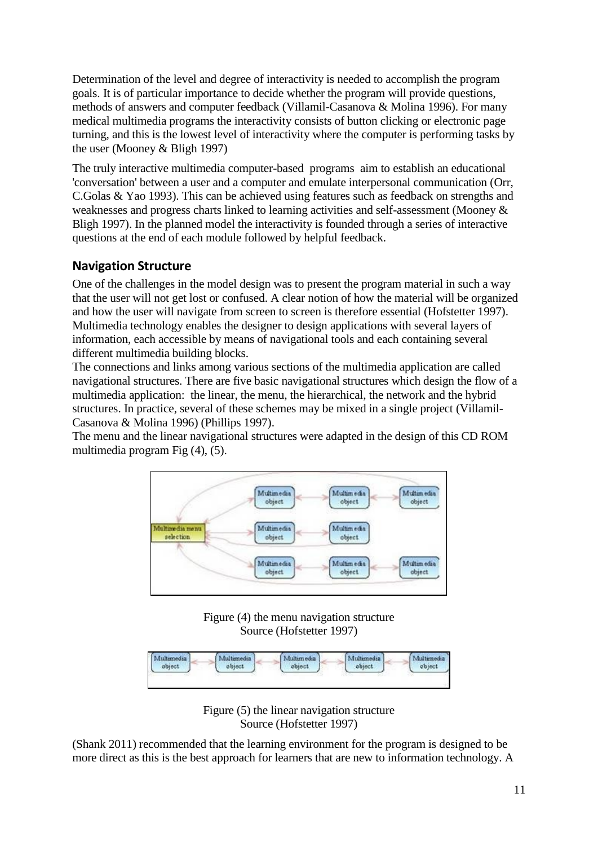Determination of the level and degree of interactivity is needed to accomplish the program goals. It is of particular importance to decide whether the program will provide questions, methods of answers and computer feedback (Villamil-Casanova & Molina 1996). For many medical multimedia programs the interactivity consists of button clicking or electronic page turning, and this is the lowest level of interactivity where the computer is performing tasks by the user (Mooney & Bligh 1997)

The truly interactive multimedia computer-based programs aim to establish an educational 'conversation' between a user and a computer and emulate interpersonal communication (Orr, C.Golas & Yao 1993). This can be achieved using features such as feedback on strengths and weaknesses and progress charts linked to learning activities and self-assessment (Mooney & Bligh 1997). In the planned model the interactivity is founded through a series of interactive questions at the end of each module followed by helpful feedback.

# **Navigation Structure**

One of the challenges in the model design was to present the program material in such a way that the user will not get lost or confused. A clear notion of how the material will be organized and how the user will navigate from screen to screen is therefore essential (Hofstetter 1997). Multimedia technology enables the designer to design applications with several layers of information, each accessible by means of navigational tools and each containing several different multimedia building blocks.

The connections and links among various sections of the multimedia application are called navigational structures. There are five basic navigational structures which design the flow of a multimedia application: the linear, the menu, the hierarchical, the network and the hybrid structures. In practice, several of these schemes may be mixed in a single project (Villamil-Casanova & Molina 1996) (Phillips 1997).

The menu and the linear navigational structures were adapted in the design of this CD ROM multimedia program Fig (4), (5).



Figure (4) the menu navigation structure Source (Hofstetter 1997)



Figure (5) the linear navigation structure Source (Hofstetter 1997)

(Shank 2011) recommended that the learning environment for the program is designed to be more direct as this is the best approach for learners that are new to information technology. A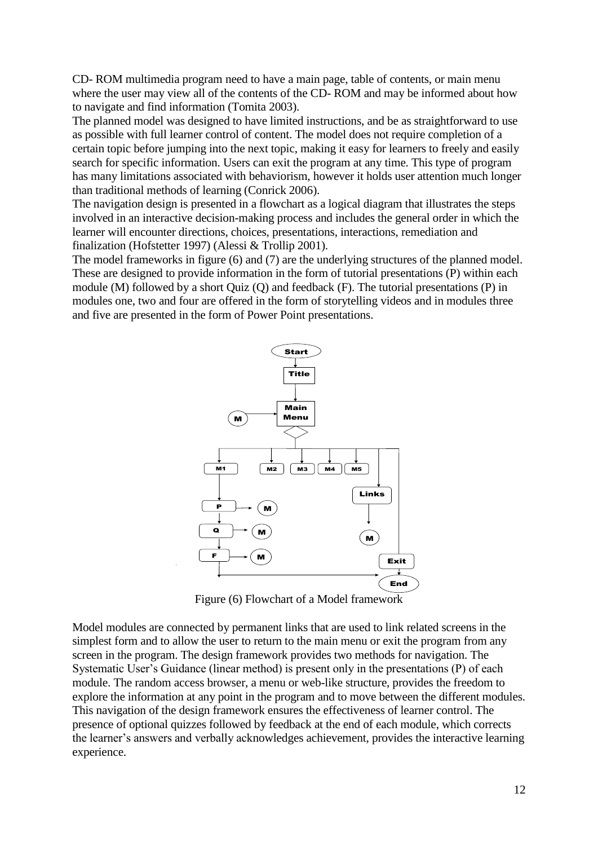CD- ROM multimedia program need to have a main page, table of contents, or main menu where the user may view all of the contents of the CD- ROM and may be informed about how to navigate and find information (Tomita 2003).

The planned model was designed to have limited instructions, and be as straightforward to use as possible with full learner control of content. The model does not require completion of a certain topic before jumping into the next topic, making it easy for learners to freely and easily search for specific information. Users can exit the program at any time. This type of program has many limitations associated with behaviorism, however it holds user attention much longer than traditional methods of learning (Conrick 2006).

The navigation design is presented in a flowchart as a logical diagram that illustrates the steps involved in an interactive decision-making process and includes the general order in which the learner will encounter directions, choices, presentations, interactions, remediation and finalization (Hofstetter 1997) (Alessi & Trollip 2001).

The model frameworks in figure (6) and (7) are the underlying structures of the planned model. These are designed to provide information in the form of tutorial presentations (P) within each module (M) followed by a short Quiz (Q) and feedback (F). The tutorial presentations (P) in modules one, two and four are offered in the form of storytelling videos and in modules three and five are presented in the form of Power Point presentations.



Figure (6) Flowchart of a Model framework

Model modules are connected by permanent links that are used to link related screens in the simplest form and to allow the user to return to the main menu or exit the program from any screen in the program. The design framework provides two methods for navigation. The Systematic User's Guidance (linear method) is present only in the presentations (P) of each module. The random access browser, a menu or web-like structure, provides the freedom to explore the information at any point in the program and to move between the different modules. This navigation of the design framework ensures the effectiveness of learner control. The presence of optional quizzes followed by feedback at the end of each module, which corrects the learner's answers and verbally acknowledges achievement, provides the interactive learning experience.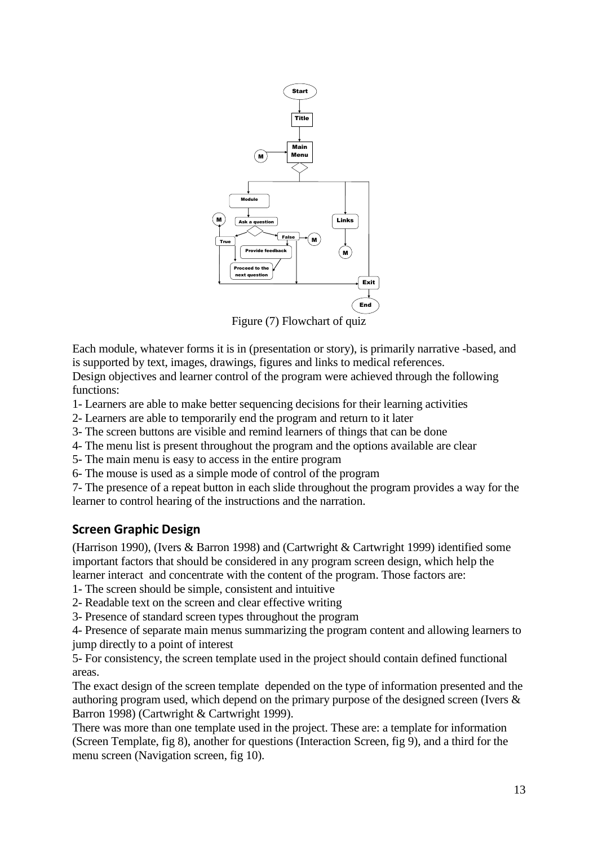

Figure (7) Flowchart of quiz

Each module, whatever forms it is in (presentation or story), is primarily narrative -based, and is supported by text, images, drawings, figures and links to medical references.

Design objectives and learner control of the program were achieved through the following functions:

- 1- Learners are able to make better sequencing decisions for their learning activities
- 2- Learners are able to temporarily end the program and return to it later
- 3- The screen buttons are visible and remind learners of things that can be done
- 4- The menu list is present throughout the program and the options available are clear
- 5- The main menu is easy to access in the entire program
- 6- The mouse is used as a simple mode of control of the program

7- The presence of a repeat button in each slide throughout the program provides a way for the learner to control hearing of the instructions and the narration.

#### **Screen Graphic Design**

(Harrison 1990), (Ivers & Barron 1998) and (Cartwright & Cartwright 1999) identified some important factors that should be considered in any program screen design, which help the learner interact and concentrate with the content of the program. Those factors are:

- 1- The screen should be simple, consistent and intuitive
- 2- Readable text on the screen and clear effective writing
- 3- Presence of standard screen types throughout the program

4- Presence of separate main menus summarizing the program content and allowing learners to jump directly to a point of interest

5- For consistency, the screen template used in the project should contain defined functional areas.

The exact design of the screen template depended on the type of information presented and the authoring program used, which depend on the primary purpose of the designed screen (Ivers & Barron 1998) (Cartwright & Cartwright 1999).

There was more than one template used in the project. These are: a template for information (Screen Template, fig 8), another for questions (Interaction Screen, fig 9), and a third for the menu screen (Navigation screen, fig 10).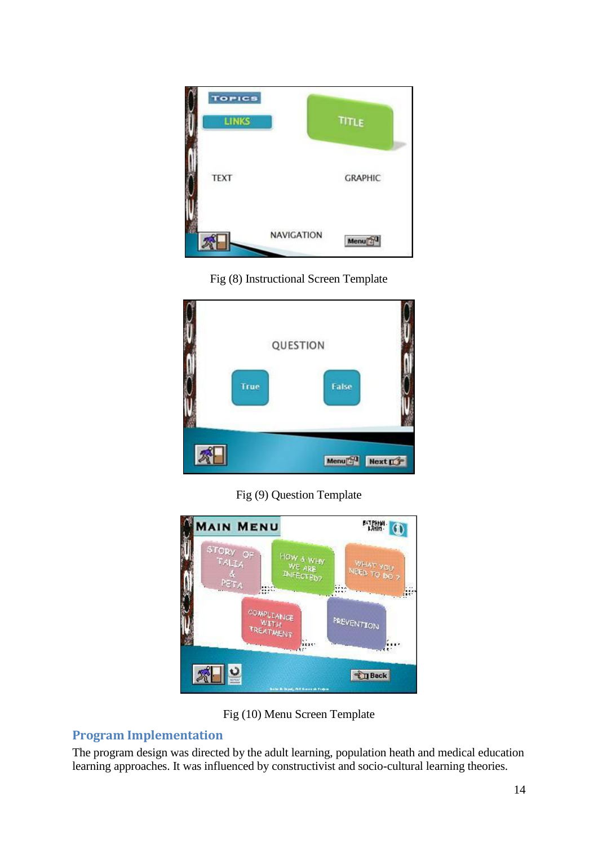

#### Fig (8) Instructional Screen Template



## Fig (9) Question Template



Fig (10) Menu Screen Template

# **Program Implementation**

The program design was directed by the adult learning, population heath and medical education learning approaches. It was influenced by constructivist and socio-cultural learning theories.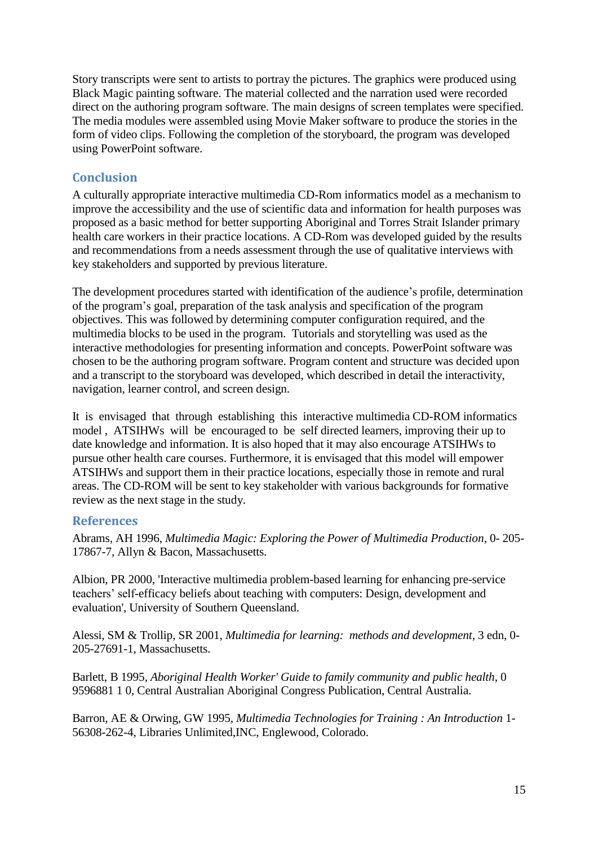Story transcripts were sent to artists to portray the pictures. The graphics were produced using Black Magic painting software. The material collected and the narration used were recorded direct on the authoring program software. The main designs of screen templates were specified. The media modules were assembled using Movie Maker software to produce the stories in the form of video clips. Following the completion of the storyboard, the program was developed using PowerPoint software.

#### **Conclusion**

A culturally appropriate interactive multimedia CD-Rom informatics model as a mechanism to improve the accessibility and the use of scientific data and information for health purposes was proposed as a basic method for better supporting Aboriginal and Torres Strait Islander primary health care workers in their practice locations. A CD-Rom was developed guided by the results and recommendations from a needs assessment through the use of qualitative interviews with key stakeholders and supported by previous literature.

The development procedures started with identification of the audience's profile, determination of the program's goal, preparation of the task analysis and specification of the program objectives. This was followed by determining computer configuration required, and the multimedia blocks to be used in the program. Tutorials and storytelling was used as the interactive methodologies for presenting information and concepts. PowerPoint software was chosen to be the authoring program software. Program content and structure was decided upon and a transcript to the storyboard was developed, which described in detail the interactivity, navigation, learner control, and screen design.

It is envisaged that through establishing this interactive multimedia CD-ROM informatics model , ATSIHWs will be encouraged to be self directed learners, improving their up to date knowledge and information. It is also hoped that it may also encourage ATSIHWs to pursue other health care courses. Furthermore, it is envisaged that this model will empower ATSIHWs and support them in their practice locations, especially those in remote and rural areas. The CD-ROM will be sent to key stakeholder with various backgrounds for formative review as the next stage in the study.

#### **References**

Abrams, AH 1996, *Multimedia Magic: Exploring the Power of Multimedia Production*, 0- 205- 17867-7, Allyn & Bacon, Massachusetts.

Albion, PR 2000, 'Interactive multimedia problem-based learning for enhancing pre-service teachers' self-efficacy beliefs about teaching with computers: Design, development and evaluation', University of Southern Queensland.

Alessi, SM & Trollip, SR 2001, *Multimedia for learning: methods and development*, 3 edn, 0- 205-27691-1, Massachusetts.

Barlett, B 1995, *Aboriginal Health Worker' Guide to family community and public health*, 0 9596881 1 0, Central Australian Aboriginal Congress Publication, Central Australia.

Barron, AE & Orwing, GW 1995, *Multimedia Technologies for Training : An Introduction* 1- 56308-262-4, Libraries Unlimited,INC, Englewood, Colorado.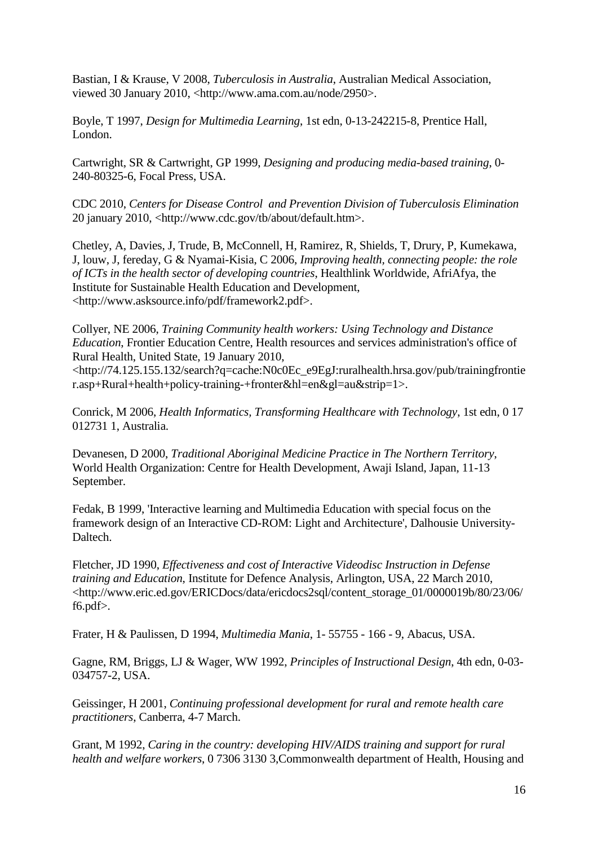Bastian, I & Krause, V 2008, *Tuberculosis in Australia*, Australian Medical Association, viewed 30 January 2010, <http://www.ama.com.au/node/2950>.

Boyle, T 1997, *Design for Multimedia Learning*, 1st edn, 0-13-242215-8, Prentice Hall, London.

Cartwright, SR & Cartwright, GP 1999, *Designing and producing media-based training*, 0- 240-80325-6, Focal Press, USA.

CDC 2010, *Centers for Disease Control and Prevention Division of Tuberculosis Elimination*  20 january 2010, <http://www.cdc.gov/tb/about/default.htm>.

Chetley, A, Davies, J, Trude, B, McConnell, H, Ramirez, R, Shields, T, Drury, P, Kumekawa, J, louw, J, fereday, G & Nyamai-Kisia, C 2006, *Improving health, connecting people: the role of ICTs in the health sector of developing countries*, Healthlink Worldwide, AfriAfya, the Institute for Sustainable Health Education and Development, <http://www.asksource.info/pdf/framework2.pdf>.

Collyer, NE 2006, *Training Community health workers: Using Technology and Distance Education*, Frontier Education Centre, Health resources and services administration's office of Rural Health, United State, 19 January 2010,

<http://74.125.155.132/search?q=cache:N0c0Ec\_e9EgJ:ruralhealth.hrsa.gov/pub/trainingfrontie r.asp+Rural+health+policy-training-+fronter&hl=en&gl=au&strip=1>.

Conrick, M 2006, *Health Informatics, Transforming Healthcare with Technology*, 1st edn, 0 17 012731 1, Australia.

Devanesen, D 2000, *Traditional Aboriginal Medicine Practice in The Northern Territory*, World Health Organization: Centre for Health Development, Awaji Island, Japan, 11-13 September.

Fedak, B 1999, 'Interactive learning and Multimedia Education with special focus on the framework design of an Interactive CD-ROM: Light and Architecture', Dalhousie University-Daltech.

Fletcher, JD 1990, *Effectiveness and cost of Interactive Videodisc Instruction in Defense training and Education*, Institute for Defence Analysis, Arlington, USA, 22 March 2010, <http://www.eric.ed.gov/ERICDocs/data/ericdocs2sql/content\_storage\_01/0000019b/80/23/06/ f6.pdf>.

Frater, H & Paulissen, D 1994, *Multimedia Mania*, 1- 55755 - 166 - 9, Abacus, USA.

Gagne, RM, Briggs, LJ & Wager, WW 1992, *Principles of Instructional Design*, 4th edn, 0-03- 034757-2, USA.

Geissinger, H 2001, *Continuing professional development for rural and remote health care practitioners*, Canberra, 4-7 March.

Grant, M 1992, *Caring in the country: developing HIV/AIDS training and support for rural health and welfare workers*, 0 7306 3130 3,Commonwealth department of Health, Housing and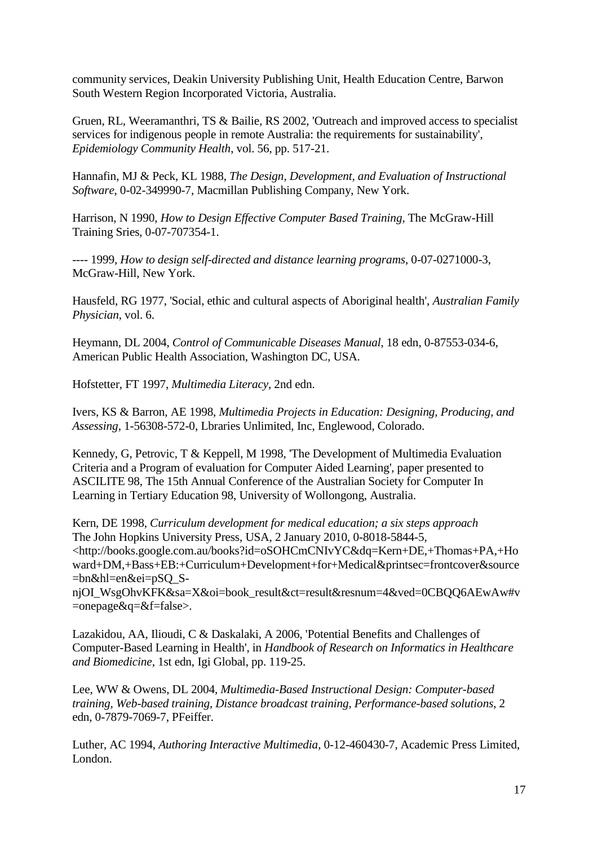community services, Deakin University Publishing Unit, Health Education Centre, Barwon South Western Region Incorporated Victoria, Australia.

Gruen, RL, Weeramanthri, TS & Bailie, RS 2002, 'Outreach and improved access to specialist services for indigenous people in remote Australia: the requirements for sustainability', *Epidemiology Community Health*, vol. 56, pp. 517-21.

Hannafin, MJ & Peck, KL 1988, *The Design, Development, and Evaluation of Instructional Software*, 0-02-349990-7, Macmillan Publishing Company, New York.

Harrison, N 1990, *How to Design Effective Computer Based Training*, The McGraw-Hill Training Sries, 0-07-707354-1.

---- 1999, *How to design self-directed and distance learning programs*, 0-07-0271000-3, McGraw-Hill, New York.

Hausfeld, RG 1977, 'Social, ethic and cultural aspects of Aboriginal health', *Australian Family Physician*, vol. 6.

Heymann, DL 2004, *Control of Communicable Diseases Manual*, 18 edn, 0-87553-034-6, American Public Health Association, Washington DC, USA.

Hofstetter, FT 1997, *Multimedia Literacy*, 2nd edn.

Ivers, KS & Barron, AE 1998, *Multimedia Projects in Education: Designing, Producing, and Assessing*, 1-56308-572-0, Lbraries Unlimited, Inc, Englewood, Colorado.

Kennedy, G, Petrovic, T & Keppell, M 1998, 'The Development of Multimedia Evaluation Criteria and a Program of evaluation for Computer Aided Learning', paper presented to ASCILITE 98, The 15th Annual Conference of the Australian Society for Computer In Learning in Tertiary Education 98, University of Wollongong, Australia.

Kern, DE 1998, *Curriculum development for medical education; a six steps approach* The John Hopkins University Press, USA, 2 January 2010, 0-8018-5844-5, <http://books.google.com.au/books?id=oSOHCmCNIvYC&dq=Kern+DE,+Thomas+PA,+Ho ward+DM,+Bass+EB:+Curriculum+Development+for+Medical&printsec=frontcover&source =bn&hl=en&ei=pSQ\_S-

njOI\_WsgOhvKFK&sa=X&oi=book\_result&ct=result&resnum=4&ved=0CBQQ6AEwAw#v =onepage&q=&f=false>.

Lazakidou, AA, Ilioudi, C & Daskalaki, A 2006, 'Potential Benefits and Challenges of Computer-Based Learning in Health', in *Handbook of Research on Informatics in Healthcare and Biomedicine*, 1st edn, Igi Global, pp. 119-25.

Lee, WW & Owens, DL 2004, *Multimedia-Based Instructional Design: Computer-based training, Web-based training, Distance broadcast training, Performance-based solutions*, 2 edn, 0-7879-7069-7, PFeiffer.

Luther, AC 1994, *Authoring Interactive Multimedia*, 0-12-460430-7, Academic Press Limited, London.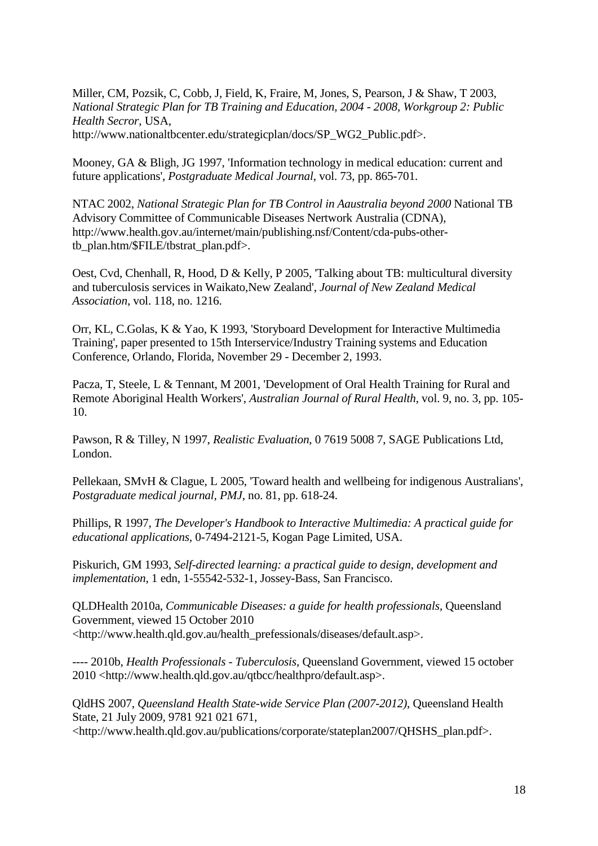Miller, CM, Pozsik, C, Cobb, J, Field, K, Fraire, M, Jones, S, Pearson, J & Shaw, T 2003, *National Strategic Plan for TB Training and Education, 2004 - 2008, Workgroup 2: Public Health Secror*, USA, http://www.nationaltbcenter.edu/strategicplan/docs/SP\_WG2\_Public.pdf>.

Mooney, GA & Bligh, JG 1997, 'Information technology in medical education: current and future applications', *Postgraduate Medical Journal*, vol. 73, pp. 865-701.

NTAC 2002, *National Strategic Plan for TB Control in Aaustralia beyond 2000* National TB Advisory Committee of Communicable Diseases Nertwork Australia (CDNA), http://www.health.gov.au/internet/main/publishing.nsf/Content/cda-pubs-othertb\_plan.htm/\$FILE/tbstrat\_plan.pdf>.

Oest, Cvd, Chenhall, R, Hood, D & Kelly, P 2005, 'Talking about TB: multicultural diversity and tuberculosis services in Waikato,New Zealand', *Journal of New Zealand Medical Association*, vol. 118, no. 1216.

Orr, KL, C.Golas, K & Yao, K 1993, 'Storyboard Development for Interactive Multimedia Training', paper presented to 15th Interservice/Industry Training systems and Education Conference, Orlando, Florida, November 29 - December 2, 1993.

Pacza, T, Steele, L & Tennant, M 2001, 'Development of Oral Health Training for Rural and Remote Aboriginal Health Workers', *Australian Journal of Rural Health*, vol. 9, no. 3, pp. 105- 10.

Pawson, R & Tilley, N 1997, *Realistic Evaluation*, 0 7619 5008 7, SAGE Publications Ltd, London.

Pellekaan, SMvH & Clague, L 2005, 'Toward health and wellbeing for indigenous Australians', *Postgraduate medical journal, PMJ*, no. 81, pp. 618-24.

Phillips, R 1997, *The Developer's Handbook to Interactive Multimedia: A practical guide for educational applications*, 0-7494-2121-5, Kogan Page Limited, USA.

Piskurich, GM 1993, *Self-directed learning: a practical guide to design, development and implementation*, 1 edn, 1-55542-532-1, Jossey-Bass, San Francisco.

QLDHealth 2010a, *Communicable Diseases: a guide for health professionals*, Queensland Government, viewed 15 October 2010 <http://www.health.qld.gov.au/health\_prefessionals/diseases/default.asp>.

---- 2010b, *Health Professionals - Tuberculosis*, Queensland Government, viewed 15 october 2010 <http://www.health.qld.gov.au/qtbcc/healthpro/default.asp>.

QldHS 2007, *Queensland Health State-wide Service Plan (2007-2012)*, Queensland Health State, 21 July 2009, 9781 921 021 671, <http://www.health.qld.gov.au/publications/corporate/stateplan2007/QHSHS\_plan.pdf>.